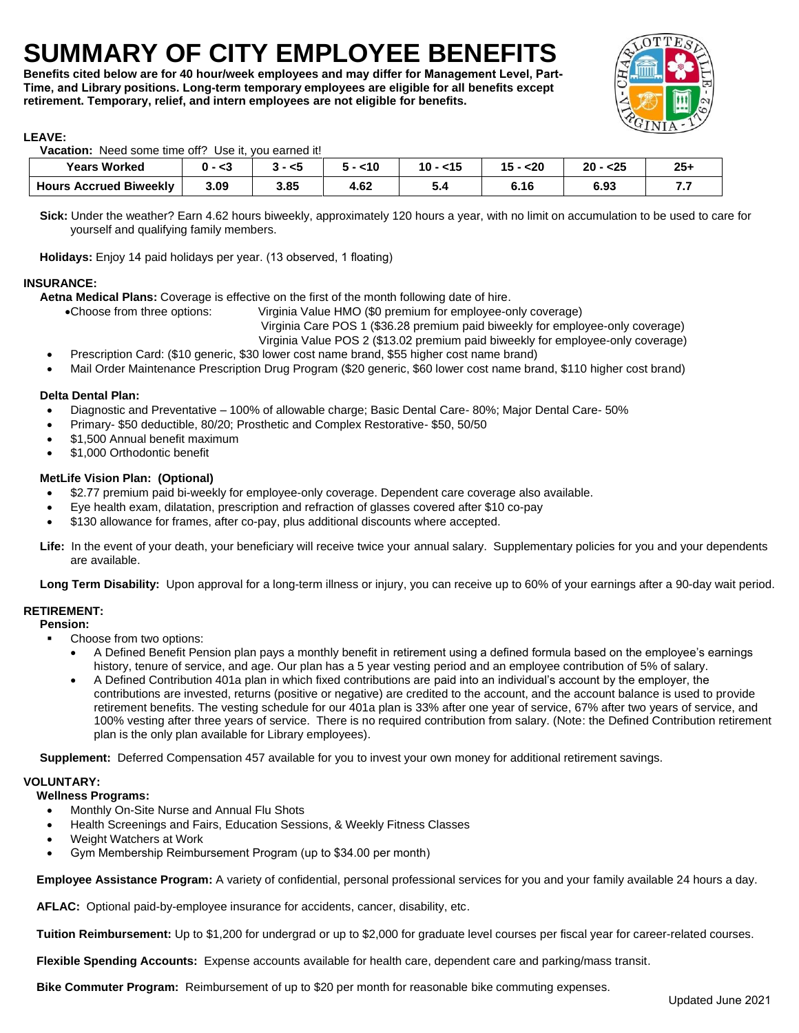## **SUMMARY OF CITY EMPLOYEE BENEFITS**

**Benefits cited below are for 40 hour/week employees and may differ for Management Level, Part-Time, and Library positions. Long-term temporary employees are eligible for all benefits except retirement. Temporary, relief, and intern employees are not eligible for benefits.** 



#### **LEAVE:**

 **Vacation:** Need some time off? Use it, you earned it!

| <b>Years Worked</b>           | - <3 | - <5 | $<$ 10 | $15$<br>10 | 15<br>$20$ | - <25<br>ົາດ<br>ZU | $25 -$   |
|-------------------------------|------|------|--------|------------|------------|--------------------|----------|
| <b>Hours Accrued Biweekly</b> | 3.09 | 3.85 | 4.62   | J.,        | 6.16       | 6.93               | - -<br>. |

 **Sick:** Under the weather? Earn 4.62 hours biweekly, approximately 120 hours a year, with no limit on accumulation to be used to care for yourself and qualifying family members.

**Holidays:** Enjoy 14 paid holidays per year. (13 observed, 1 floating)

#### **INSURANCE:**

 **Aetna Medical Plans:** Coverage is effective on the first of the month following date of hire.

•Choose from three options: Virginia Value HMO (\$0 premium for employee-only coverage)

• Virginia Care POS 1 (\$36.28 premium paid biweekly for employee-only coverage)

Virginia Value POS 2 (\$13.02 premium paid biweekly for employee-only coverage)

- Prescription Card: (\$10 generic, \$30 lower cost name brand, \$55 higher cost name brand)
- Mail Order Maintenance Prescription Drug Program (\$20 generic, \$60 lower cost name brand, \$110 higher cost brand)

#### **Delta Dental Plan:**

- Diagnostic and Preventative 100% of allowable charge; Basic Dental Care- 80%; Major Dental Care- 50%
- Primary- \$50 deductible, 80/20; Prosthetic and Complex Restorative- \$50, 50/50
- \$1,500 Annual benefit maximum
- \$1,000 Orthodontic benefit

#### **MetLife Vision Plan: (Optional)**

- \$2.77 premium paid bi-weekly for employee-only coverage. Dependent care coverage also available.
- Eye health exam, dilatation, prescription and refraction of glasses covered after \$10 co-pay
- \$130 allowance for frames, after co-pay, plus additional discounts where accepted.
- **Life:** In the event of your death, your beneficiary will receive twice your annual salary. Supplementary policies for you and your dependents are available.

**Long Term Disability:** Upon approval for a long-term illness or injury, you can receive up to 60% of your earnings after a 90-day wait period.

#### **RETIREMENT:**

#### **Pension:**

- Choose from two options:
	- A Defined Benefit Pension plan pays a monthly benefit in retirement using a defined formula based on the employee's earnings history, tenure of service, and age. Our plan has a 5 year vesting period and an employee contribution of 5% of salary.
	- A Defined Contribution 401a plan in which fixed contributions are paid into an individual's account by the employer, the contributions are invested, returns (positive or negative) are credited to the account, and the account balance is used to provide retirement benefits. The vesting schedule for our 401a plan is 33% after one year of service, 67% after two years of service, and 100% vesting after three years of service. There is no required contribution from salary. (Note: the Defined Contribution retirement plan is the only plan available for Library employees).

**Supplement:** Deferred Compensation 457 available for you to invest your own money for additional retirement savings.

#### **VOLUNTARY:**

#### **Wellness Programs:**

- Monthly On-Site Nurse and Annual Flu Shots
- Health Screenings and Fairs, Education Sessions, & Weekly Fitness Classes
- Weight Watchers at Work
- Gym Membership Reimbursement Program (up to \$34.00 per month)

 **Employee Assistance Program:** A variety of confidential, personal professional services for you and your family available 24 hours a day.

**AFLAC:** Optional paid-by-employee insurance for accidents, cancer, disability, etc.

**Tuition Reimbursement:** Up to \$1,200 for undergrad or up to \$2,000 for graduate level courses per fiscal year for career-related courses.

 **Flexible Spending Accounts:** Expense accounts available for health care, dependent care and parking/mass transit.

**Bike Commuter Program:** Reimbursement of up to \$20 per month for reasonable bike commuting expenses.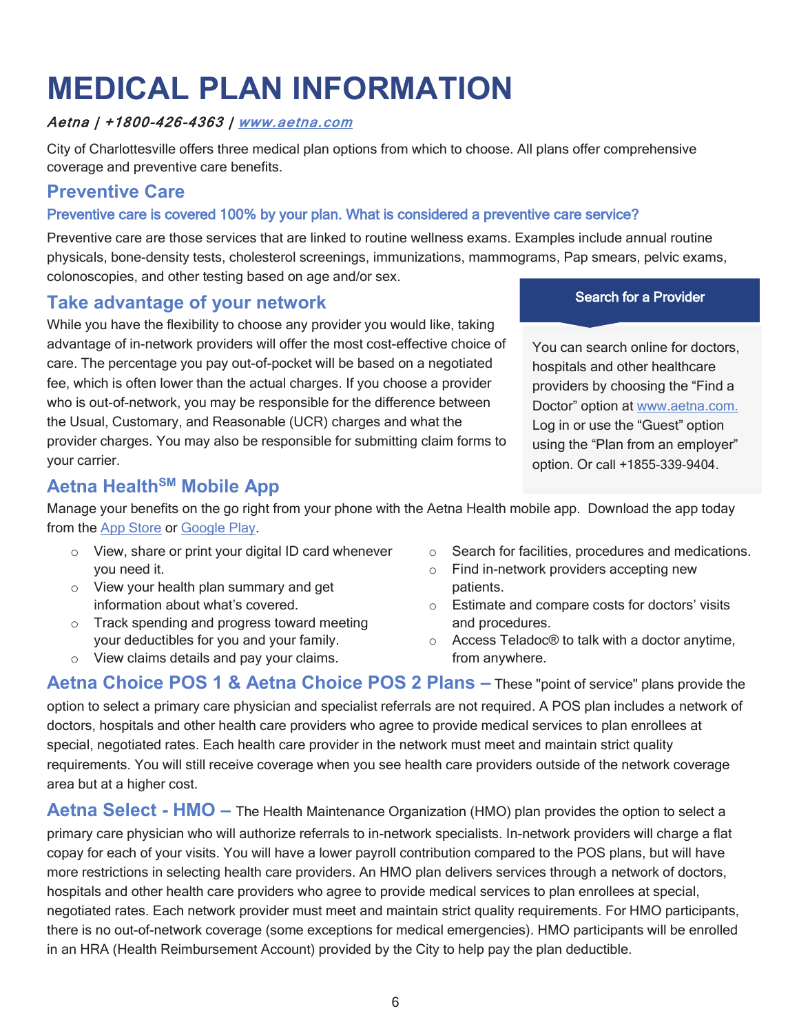## **MEDICAL PLAN INFORMATION**

#### Aetna | +1800-426-4363 | www.aetna.com

City of Charlottesville offers three medical plan options from which to choose. All plans offer comprehensive coverage and preventive care benefits.

### **Preventive Care**

#### Preventive care is covered 100% by your plan. What is considered a preventive care service?

Preventive care are those services that are linked to routine wellness exams. Examples include annual routine physicals, bone-density tests, cholesterol screenings, immunizations, mammograms, Pap smears, pelvic exams, colonoscopies, and other testing based on age and/or sex.

### **Take advantage of your network**

While you have the flexibility to choose any provider you would like, taking advantage of in-network providers will offer the most cost-effective choice of care. The percentage you pay out-of-pocket will be based on a negotiated fee, which is often lower than the actual charges. If you choose a provider who is out-of-network, you may be responsible for the difference between the Usual, Customary, and Reasonable (UCR) charges and what the provider charges. You may also be responsible for submitting claim forms to your carrier.

Search for a Provider

You can search online for doctors, hospitals and other healthcare providers by choosing the "Find a Doctor" option at www.aetna.com. Log in or use the "Guest" option using the "Plan from an employer" option. Or call +1855-339-9404.

## **Aetna Health<sup>SM</sup> Mobile App**

Manage your benefits on the go right from your phone with the Aetna Health mobile app. Download the app today from the App Store or Google Play.

- o View, share or print your digital ID card whenever you need it.
- o View your health plan summary and get information about what's covered.
- o Track spending and progress toward meeting your deductibles for you and your family.
- o View claims details and pay your claims.
- o Search for facilities, procedures and medications.
- o Find in-network providers accepting new patients.
- o Estimate and compare costs for doctors' visits and procedures.
- o Access Teladoc® to talk with a doctor anytime, from anywhere.

**Aetna Choice POS 1 & Aetna Choice POS 2 Plans – These "point of service" plans provide the** option to select a primary care physician and specialist referrals are not required. A POS plan includes a network of doctors, hospitals and other health care providers who agree to provide medical services to plan enrollees at special, negotiated rates. Each health care provider in the network must meet and maintain strict quality requirements. You will still receive coverage when you see health care providers outside of the network coverage area but at a higher cost.

**Aetna Select - HMO –** The Health Maintenance Organization (HMO) plan provides the option to select a primary care physician who will authorize referrals to in-network specialists. In-network providers will charge a flat copay for each of your visits. You will have a lower payroll contribution compared to the POS plans, but will have more restrictions in selecting health care providers. An HMO plan delivers services through a network of doctors, hospitals and other health care providers who agree to provide medical services to plan enrollees at special, negotiated rates. Each network provider must meet and maintain strict quality requirements. For HMO participants, there is no out-of-network coverage (some exceptions for medical emergencies). HMO participants will be enrolled in an HRA (Health Reimbursement Account) provided by the City to help pay the plan deductible.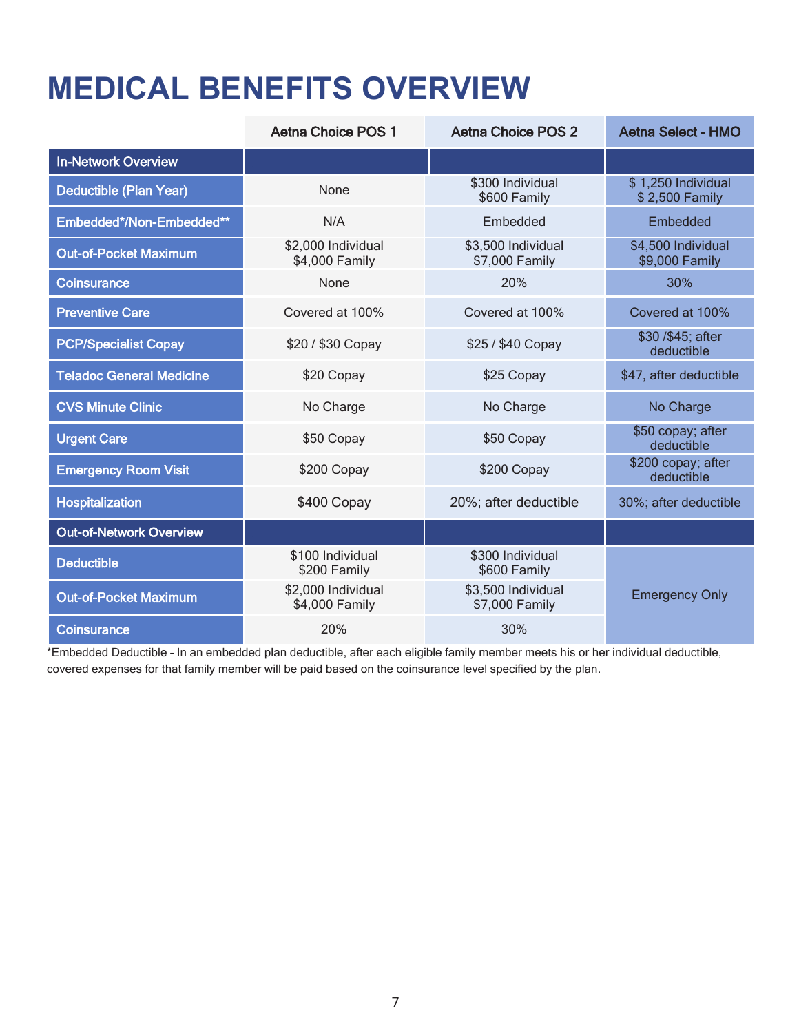## **MEDICAL BENEFITS OVERVIEW**

|                                 | <b>Aetna Choice POS 1</b>            | Aetna Choice POS 2                             | <b>Aetna Select - HMO</b>            |
|---------------------------------|--------------------------------------|------------------------------------------------|--------------------------------------|
| <b>In-Network Overview</b>      |                                      |                                                |                                      |
| Deductible (Plan Year)          | None                                 | \$300 Individual<br>\$600 Family               | \$1,250 Individual<br>\$2,500 Family |
| Embedded*/Non-Embedded**        | N/A                                  | Embedded                                       | Embedded                             |
| <b>Out-of-Pocket Maximum</b>    | \$2,000 Individual<br>\$4,000 Family | \$3,500 Individual<br>\$7,000 Family           | \$4,500 Individual<br>\$9,000 Family |
| <b>Coinsurance</b>              | None                                 | 20%                                            | 30%                                  |
| <b>Preventive Care</b>          | Covered at 100%                      | Covered at 100%                                | Covered at 100%                      |
| <b>PCP/Specialist Copay</b>     | \$20 / \$30 Copay                    | \$25 / \$40 Copay                              | \$30/\$45; after<br>deductible       |
| <b>Teladoc General Medicine</b> | \$20 Copay                           | \$25 Copay                                     | \$47, after deductible               |
| <b>CVS Minute Clinic</b>        | No Charge                            | No Charge                                      | No Charge                            |
| <b>Urgent Care</b>              | \$50 Copay                           | \$50 copay; after<br>\$50 Copay<br>deductible  |                                      |
| <b>Emergency Room Visit</b>     | \$200 Copay                          | \$200 Copay                                    | \$200 copay; after<br>deductible     |
| <b>Hospitalization</b>          | \$400 Copay                          | 20%; after deductible<br>30%; after deductible |                                      |
| <b>Out-of-Network Overview</b>  |                                      |                                                |                                      |
| <b>Deductible</b>               | \$100 Individual<br>\$200 Family     | \$300 Individual<br>\$600 Family               |                                      |
| <b>Out-of-Pocket Maximum</b>    | \$2,000 Individual<br>\$4,000 Family | \$3,500 Individual<br>\$7,000 Family           | <b>Emergency Only</b>                |
| <b>Coinsurance</b>              | 20%                                  | 30%                                            |                                      |

\*Embedded Deductible – In an embedded plan deductible, after each eligible family member meets his or her individual deductible, covered expenses for that family member will be paid based on the coinsurance level specified by the plan.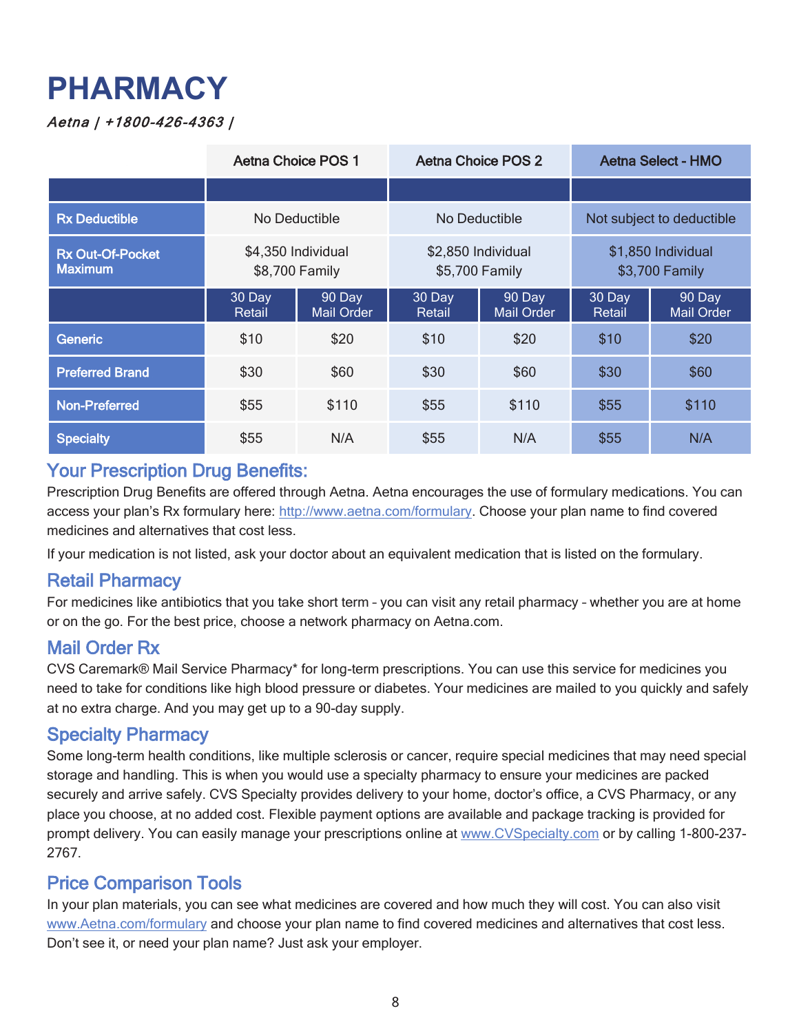## **PHARMACY**

#### Aetna | +1800-426-4363 |

|                                           | <b>Aetna Choice POS 1</b>            |                      | Aetna Choice POS 2                   |                             | <b>Aetna Select - HMO</b>            |                             |
|-------------------------------------------|--------------------------------------|----------------------|--------------------------------------|-----------------------------|--------------------------------------|-----------------------------|
|                                           |                                      |                      |                                      |                             |                                      |                             |
| <b>Rx Deductible</b>                      | No Deductible                        |                      | No Deductible                        |                             | Not subject to deductible            |                             |
| <b>Rx Out-Of-Pocket</b><br><b>Maximum</b> | \$4,350 Individual<br>\$8,700 Family |                      | \$2,850 Individual<br>\$5,700 Family |                             | \$1,850 Individual<br>\$3,700 Family |                             |
|                                           | 30 Day<br>Retail                     | 90 Day<br>Mail Order | 30 Day<br>Retail                     | 90 Day<br><b>Mail Order</b> | 30 Day<br>Retail                     | 90 Day<br><b>Mail Order</b> |
| Generic                                   | \$10                                 | \$20                 | \$10                                 | \$20                        | \$10                                 | \$20                        |
| <b>Preferred Brand</b>                    | \$30                                 | \$60                 | \$30                                 | \$60                        | \$30                                 | \$60                        |
| <b>Non-Preferred</b>                      | \$55                                 | \$110                | \$55                                 | \$110                       | \$55                                 | \$110                       |
| <b>Specialty</b>                          | \$55                                 | N/A                  | \$55                                 | N/A                         | \$55                                 | N/A                         |

### Your Prescription Drug Benefits:

Prescription Drug Benefits are offered through Aetna. Aetna encourages the use of formulary medications. You can access your plan's Rx formulary here: http://www.aetna.com/formulary. Choose your plan name to find covered medicines and alternatives that cost less.

If your medication is not listed, ask your doctor about an equivalent medication that is listed on the formulary.

#### Retail Pharmacy

For medicines like antibiotics that you take short term – you can visit any retail pharmacy – whether you are at home or on the go. For the best price, choose a network pharmacy on Aetna.com.

#### Mail Order Rx

CVS Caremark® Mail Service Pharmacy\* for long-term prescriptions. You can use this service for medicines you need to take for conditions like high blood pressure or diabetes. Your medicines are mailed to you quickly and safely at no extra charge. And you may get up to a 90-day supply.

#### Specialty Pharmacy

Some long-term health conditions, like multiple sclerosis or cancer, require special medicines that may need special storage and handling. This is when you would use a specialty pharmacy to ensure your medicines are packed securely and arrive safely. CVS Specialty provides delivery to your home, doctor's office, a CVS Pharmacy, or any place you choose, at no added cost. Flexible payment options are available and package tracking is provided for prompt delivery. You can easily manage your prescriptions online at www.CVSpecialty.com or by calling 1-800-237- 2767.

### Price Comparison Tools

In your plan materials, you can see what medicines are covered and how much they will cost. You can also visit www.Aetna.com/formulary and choose your plan name to find covered medicines and alternatives that cost less. Don't see it, or need your plan name? Just ask your employer.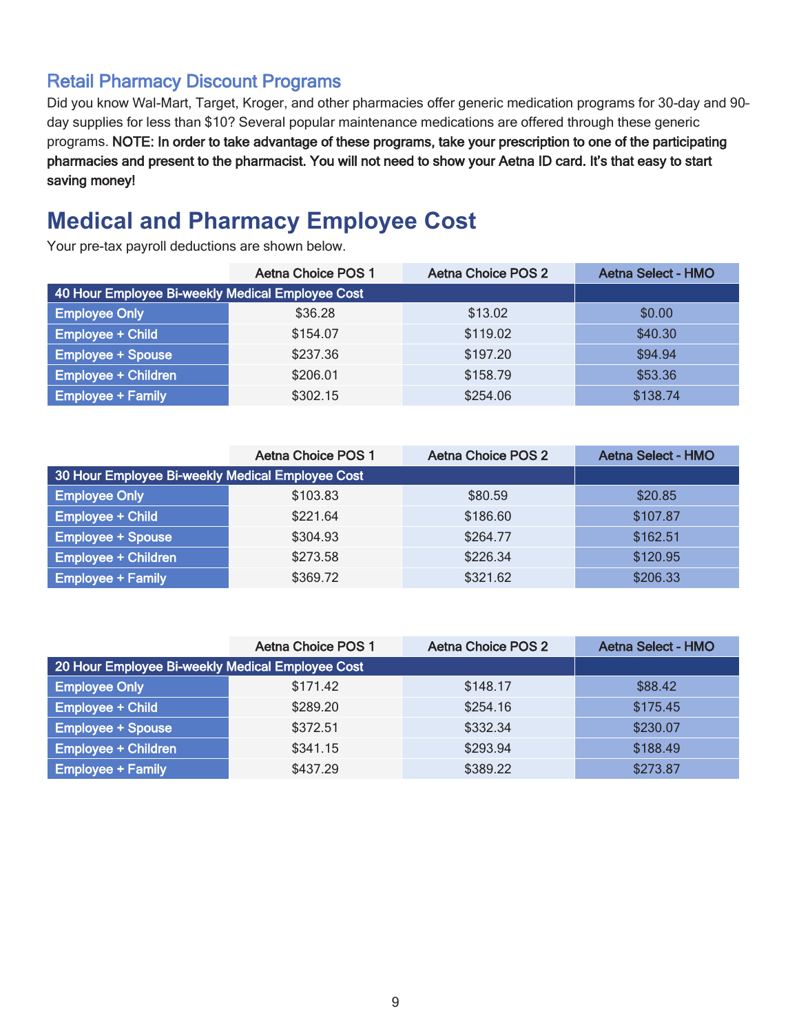## Retail Pharmacy Discount Programs

Did you know Wal-Mart, Target, Kroger, and other pharmacies offer generic medication programs for 30-day and 90– day supplies for less than \$10? Several popular maintenance medications are offered through these generic programs. NOTE: In order to take advantage of these programs, take your prescription to one of the participating pharmacies and present to the pharmacist. You will not need to show your Aetna ID card. It's that easy to start saving money!

## **Medical and Pharmacy Employee Cost**

Your pre-tax payroll deductions are shown below.

|                                                  | <b>Aetna Choice POS 1</b> | <b>Aetna Choice POS 2</b> | <b>Aetna Select - HMO</b> |
|--------------------------------------------------|---------------------------|---------------------------|---------------------------|
| 40 Hour Employee Bi-weekly Medical Employee Cost |                           |                           |                           |
| <b>Employee Only</b>                             | \$36.28                   | \$13.02                   | \$0.00                    |
| <b>Employee + Child</b>                          | \$154.07                  | \$119.02                  | \$40.30                   |
| <b>Employee + Spouse</b>                         | \$237.36                  | \$197.20                  | \$94.94                   |
| <b>Employee + Children</b>                       | \$206.01                  | \$158.79                  | \$53.36                   |
| <b>Employee + Family</b>                         | \$302.15                  | \$254.06                  | \$138.74                  |

|                                                  | <b>Aetna Choice POS 1</b> | Aetna Choice POS 2 | <b>Aetna Select - HMO</b> |
|--------------------------------------------------|---------------------------|--------------------|---------------------------|
| 30 Hour Employee Bi-weekly Medical Employee Cost |                           |                    |                           |
| <b>Employee Only</b>                             | \$103.83                  | \$80.59            | \$20.85                   |
| <b>Employee + Child</b>                          | \$221.64                  | \$186.60           | \$107.87                  |
| <b>Employee + Spouse</b>                         | \$304.93                  | \$264.77           | \$162.51                  |
| <b>Employee + Children</b>                       | \$273.58                  | \$226.34           | \$120.95                  |
| <b>Employee + Family</b>                         | \$369.72                  | \$321.62           | \$206.33                  |

|                                                  | <b>Aetna Choice POS 1</b> | <b>Aetna Choice POS 2</b> | <b>Aetna Select - HMO</b> |
|--------------------------------------------------|---------------------------|---------------------------|---------------------------|
| 20 Hour Employee Bi-weekly Medical Employee Cost |                           |                           |                           |
| <b>Employee Only</b>                             | \$171.42                  | \$148.17                  | \$88.42                   |
| <b>Employee + Child</b>                          | \$289.20                  | \$254.16                  | \$175.45                  |
| <b>Employee + Spouse</b>                         | \$372.51                  | \$332.34                  | \$230.07                  |
| <b>Employee + Children</b>                       | \$341.15                  | \$293.94                  | \$188.49                  |
| <b>Employee + Family</b>                         | \$437.29                  | \$389.22                  | \$273.87                  |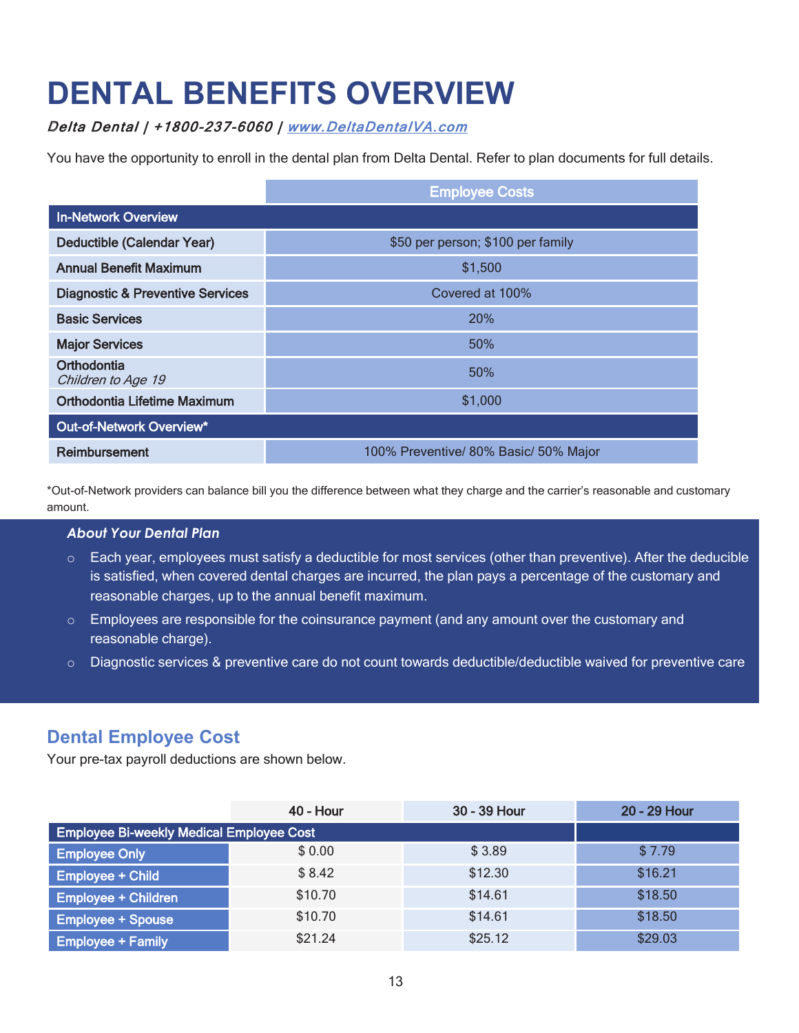## **DENTAL BENEFITS OVERVIEW**

#### Delta Dental | +1800-237-6060 | www.DeltaDentalVA.com

You have the opportunity to enroll in the dental plan from Delta Dental. Refer to plan documents for full details.

|                                             | <b>Employee Costs</b>                 |  |  |
|---------------------------------------------|---------------------------------------|--|--|
| <b>In-Network Overview</b>                  |                                       |  |  |
| Deductible (Calendar Year)                  | \$50 per person; \$100 per family     |  |  |
| <b>Annual Benefit Maximum</b>               | \$1,500                               |  |  |
| <b>Diagnostic &amp; Preventive Services</b> | Covered at 100%                       |  |  |
| <b>Basic Services</b>                       | <b>20%</b>                            |  |  |
| <b>Major Services</b>                       | 50%                                   |  |  |
| Orthodontia<br>Children to Age 19           | 50%                                   |  |  |
| Orthodontia Lifetime Maximum                | \$1,000                               |  |  |
| Out-of-Network Overview*                    |                                       |  |  |
| Reimbursement                               | 100% Preventive/ 80% Basic/ 50% Major |  |  |

\*Out-of-Network providers can balance bill you the difference between what they charge and the carrier's reasonable and customary amount.

#### *About Your Dental Plan*

- o Each year, employees must satisfy a deductible for most services (other than preventive). After the deducible is satisfied, when covered dental charges are incurred, the plan pays a percentage of the customary and reasonable charges, up to the annual benefit maximum.
- $\circ$  Employees are responsible for the coinsurance payment (and any amount over the customary and reasonable charge).
- o Diagnostic services & preventive care do not count towards deductible/deductible waived for preventive care

### **Dental Employee Cost**

Your pre-tax payroll deductions are shown below.

|                                                 | <b>40 - Hour</b> | 30 - 39 Hour | 20 - 29 Hour |
|-------------------------------------------------|------------------|--------------|--------------|
| <b>Employee Bi-weekly Medical Employee Cost</b> |                  |              |              |
| <b>Employee Only</b>                            | \$0.00           | \$3.89       | \$7.79       |
| <b>Employee + Child</b>                         | \$8.42           | \$12.30      | \$16.21      |
| <b>Employee + Children</b>                      | \$10.70          | \$14.61      | \$18.50      |
| <b>Employee + Spouse</b>                        | \$10.70          | \$14.61      | \$18.50      |
| <b>Employee + Family</b>                        | \$21.24          | \$25.12      | \$29.03      |